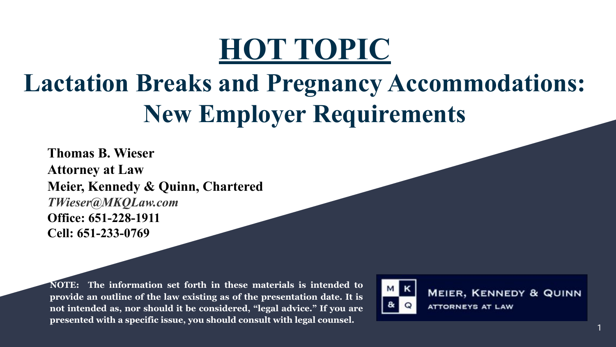# **HOT TOPIC**

### **Lactation Breaks and Pregnancy Accommodations: New Employer Requirements**

**Thomas B. Wieser Attorney at Law Meier, Kennedy & Quinn, Chartered** *TWieser@MKQLaw.com* **Office: 651-228-1911 Cell: 651-233-0769**

**NOTE: The information set forth in these materials is intended to provide an outline of the law existing as of the presentation date. It is not intended as, nor should it be considered, "legal advice." If you are presented with a specific issue, you should consult with legal counsel.**



**MEIER, KENNEDY & QUINN ATTORNEYS AT LAW**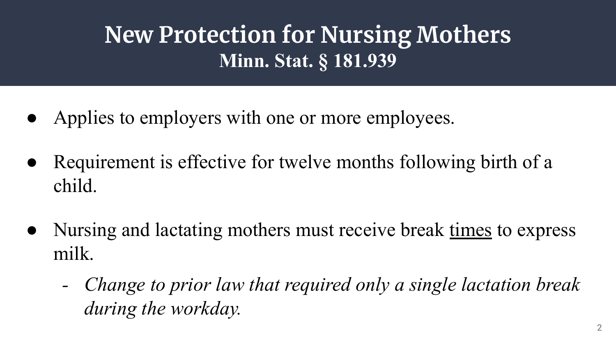### **New Protection for Nursing Mothers Minn. Stat. § 181.939**

- Applies to employers with one or more employees.
- Requirement is effective for twelve months following birth of a child.
- Nursing and lactating mothers must receive break times to express milk.
	- *- Change to prior law that required only a single lactation break during the workday.*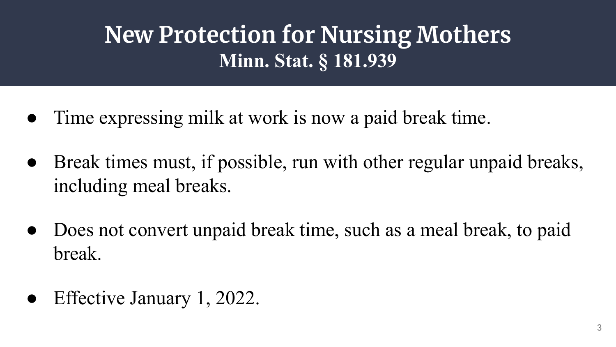### **New Protection for Nursing Mothers Minn. Stat. § 181.939**

- Time expressing milk at work is now a paid break time.
- Break times must, if possible, run with other regular unpaid breaks, including meal breaks.
- Does not convert unpaid break time, such as a meal break, to paid break.
- Effective January 1, 2022.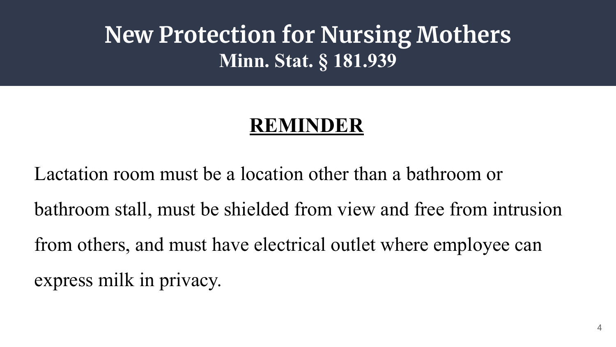#### **New Protection for Nursing Mothers Minn. Stat. § 181.939**

#### **REMINDER**

Lactation room must be a location other than a bathroom or bathroom stall, must be shielded from view and free from intrusion from others, and must have electrical outlet where employee can express milk in privacy.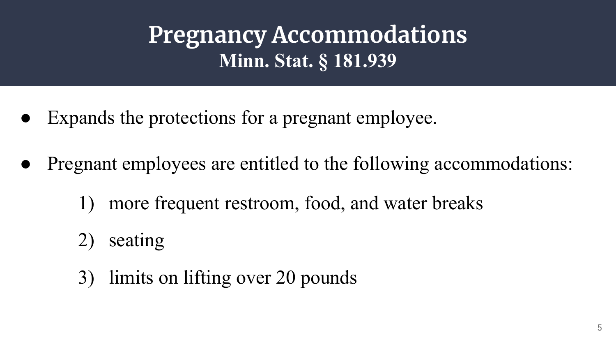**Pregnancy Accommodations Minn. Stat. § 181.939**

- Expands the protections for a pregnant employee.
- Pregnant employees are entitled to the following accommodations:
	- 1) more frequent restroom, food, and water breaks
	- 2) seating
	- 3) limits on lifting over 20 pounds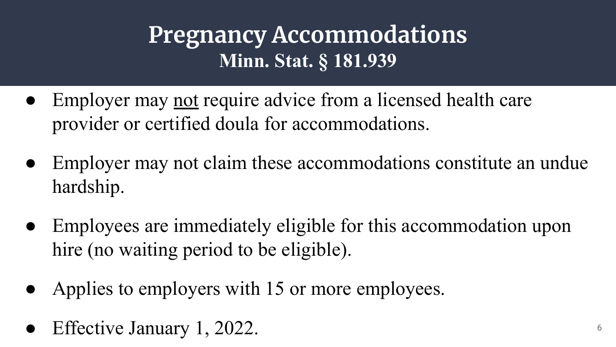#### **Pregnancy Accommodations Minn. Stat. § 181.939**

- Employer may not require advice from a licensed health care provider or certified doula for accommodations.
- Employer may not claim these accommodations constitute an undue hardship.
- Employees are immediately eligible for this accommodation upon hire (no waiting period to be eligible).
- Applies to employers with 15 or more employees.
- Effective January 1, 2022.